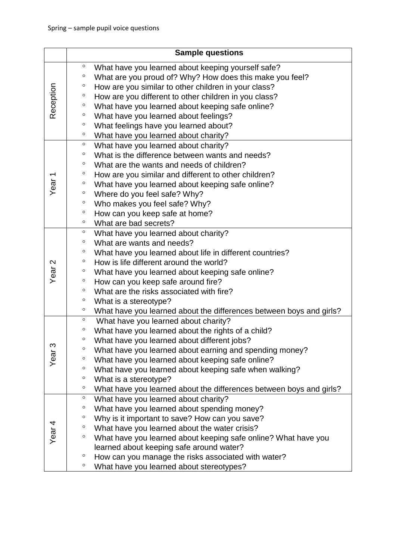|                   |                    | <b>Sample questions</b>                                                                                        |
|-------------------|--------------------|----------------------------------------------------------------------------------------------------------------|
| Reception         | $\circ$<br>$\circ$ | What have you learned about keeping yourself safe?<br>What are you proud of? Why? How does this make you feel? |
|                   | $\circ$            | How are you similar to other children in your class?                                                           |
|                   | $\circ$            | How are you different to other children in you class?                                                          |
|                   | $\circ$            | What have you learned about keeping safe online?                                                               |
|                   | $\circ$            | What have you learned about feelings?                                                                          |
|                   | $\circ$            | What feelings have you learned about?                                                                          |
|                   | $\circ$            | What have you learned about charity?                                                                           |
|                   | $\circ$            | What have you learned about charity?                                                                           |
|                   | $\circ$            | What is the difference between wants and needs?                                                                |
|                   | $\circ$            | What are the wants and needs of children?                                                                      |
|                   | $\circ$            | How are you similar and different to other children?                                                           |
| Year <sub>1</sub> | $\circ$            | What have you learned about keeping safe online?                                                               |
|                   | $\circ$            | Where do you feel safe? Why?                                                                                   |
|                   | $\circ$            | Who makes you feel safe? Why?                                                                                  |
|                   | $\circ$            | How can you keep safe at home?                                                                                 |
|                   | $\circ$            | What are bad secrets?                                                                                          |
|                   | $\circ$            | What have you learned about charity?                                                                           |
| Year <sub>2</sub> | $\circ$            | What are wants and needs?                                                                                      |
|                   | $\circ$            | What have you learned about life in different countries?                                                       |
|                   | $\circ$            | How is life different around the world?                                                                        |
|                   | $\circ$            | What have you learned about keeping safe online?                                                               |
|                   | $\circ$            | How can you keep safe around fire?                                                                             |
|                   | $\circ$            | What are the risks associated with fire?                                                                       |
|                   | $\circ$            | What is a stereotype?                                                                                          |
|                   | $\circ$            | What have you learned about the differences between boys and girls?                                            |
| က<br>Year         | $\circ$            | What have you learned about charity?                                                                           |
|                   | $\circ$            | What have you learned about the rights of a child?                                                             |
|                   | $\circ$            | What have you learned about different jobs?                                                                    |
|                   | $\circ$            | What have you learned about earning and spending money?                                                        |
|                   | $\circ$            | What have you learned about keeping safe online?                                                               |
|                   | $\circ$            | What have you learned about keeping safe when walking?                                                         |
|                   | $\circ$            | What is a stereotype?                                                                                          |
|                   | $\circ$            | What have you learned about the differences between boys and girls?                                            |
|                   | $\circ$            | What have you learned about charity?                                                                           |
| Year $4$          | $\circ$            | What have you learned about spending money?                                                                    |
|                   | $\circ$            | Why is it important to save? How can you save?                                                                 |
|                   | $\circ$            | What have you learned about the water crisis?                                                                  |
|                   | $\circ$            | What have you learned about keeping safe online? What have you                                                 |
|                   |                    | learned about keeping safe around water?                                                                       |
|                   | $\circ$            | How can you manage the risks associated with water?                                                            |
|                   | $\circ$            | What have you learned about stereotypes?                                                                       |